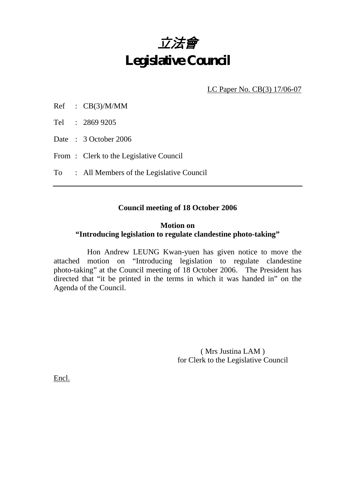

LC Paper No. CB(3) 17/06-07

Tel : 2869 9205

Date: 3 October 2006

From: Clerk to the Legislative Council

To : All Members of the Legislative Council

### **Council meeting of 18 October 2006**

### **Motion on**

### **"Introducing legislation to regulate clandestine photo-taking"**

 Hon Andrew LEUNG Kwan-yuen has given notice to move the attached motion on "Introducing legislation to regulate clandestine photo-taking" at the Council meeting of 18 October 2006. The President has directed that "it be printed in the terms in which it was handed in" on the Agenda of the Council.

> ( Mrs Justina LAM ) for Clerk to the Legislative Council

Encl.